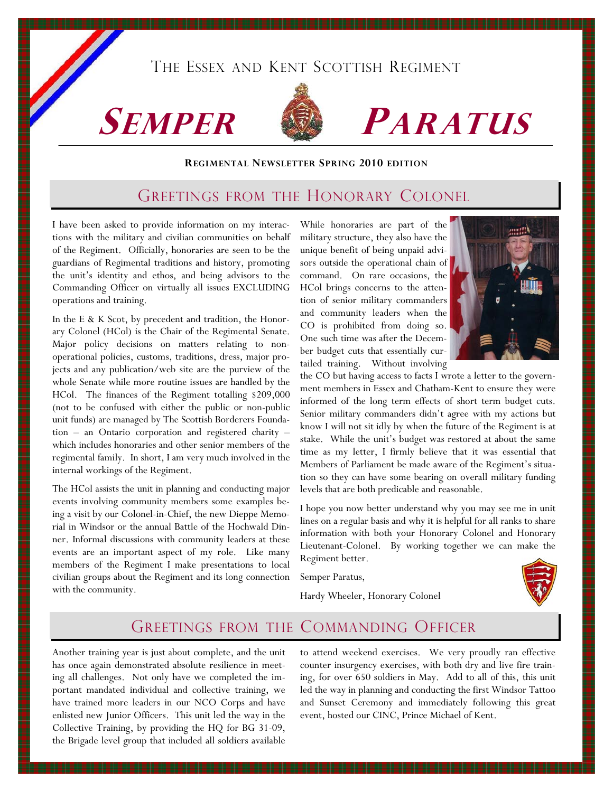## THE ESSEX AND KENT SCOTTISH REGIMENT





# SEMPER **SEMPER PARATUS**

#### REGIMENTAL NEWSLETTER SPRING 2010 EDITION

### GREETINGS FROM THE HONORARY COLONEL

I have been asked to provide information on my interactions with the military and civilian communities on behalf of the Regiment. Officially, honoraries are seen to be the guardians of Regimental traditions and history, promoting the unit's identity and ethos, and being advisors to the Commanding Officer on virtually all issues EXCLUDING operations and training.

In the E & K Scot, by precedent and tradition, the Honorary Colonel (HCol) is the Chair of the Regimental Senate. Major policy decisions on matters relating to nonoperational policies, customs, traditions, dress, major projects and any publication/web site are the purview of the whole Senate while more routine issues are handled by the HCol. The finances of the Regiment totalling \$209,000 (not to be confused with either the public or non-public unit funds) are managed by The Scottish Borderers Foundation – an Ontario corporation and registered charity – which includes honoraries and other senior members of the regimental family. In short, I am very much involved in the internal workings of the Regiment.

The HCol assists the unit in planning and conducting major events involving community members some examples being a visit by our Colonel-in-Chief, the new Dieppe Memorial in Windsor or the annual Battle of the Hochwald Dinner. Informal discussions with community leaders at these events are an important aspect of my role. Like many members of the Regiment I make presentations to local civilian groups about the Regiment and its long connection with the community.

While honoraries are part of the military structure, they also have the unique benefit of being unpaid advisors outside the operational chain of command. On rare occasions, the HCol brings concerns to the attention of senior military commanders and community leaders when the CO is prohibited from doing so. One such time was after the December budget cuts that essentially curtailed training. Without involving



the CO but having access to facts I wrote a letter to the government members in Essex and Chatham-Kent to ensure they were informed of the long term effects of short term budget cuts. Senior military commanders didn't agree with my actions but know I will not sit idly by when the future of the Regiment is at stake. While the unit's budget was restored at about the same time as my letter, I firmly believe that it was essential that Members of Parliament be made aware of the Regiment's situation so they can have some bearing on overall military funding levels that are both predicable and reasonable.

I hope you now better understand why you may see me in unit lines on a regular basis and why it is helpful for all ranks to share information with both your Honorary Colonel and Honorary Lieutenant-Colonel. By working together we can make the Regiment better.

Semper Paratus,

Hardy Wheeler, Honorary Colonel



### GREETINGS FROM THE COMMANDING OFFICER

Another training year is just about complete, and the unit has once again demonstrated absolute resilience in meeting all challenges. Not only have we completed the important mandated individual and collective training, we have trained more leaders in our NCO Corps and have enlisted new Junior Officers. This unit led the way in the Collective Training, by providing the HQ for BG 31-09, the Brigade level group that included all soldiers available

to attend weekend exercises. We very proudly ran effective counter insurgency exercises, with both dry and live fire training, for over 650 soldiers in May. Add to all of this, this unit led the way in planning and conducting the first Windsor Tattoo and Sunset Ceremony and immediately following this great event, hosted our CINC, Prince Michael of Kent.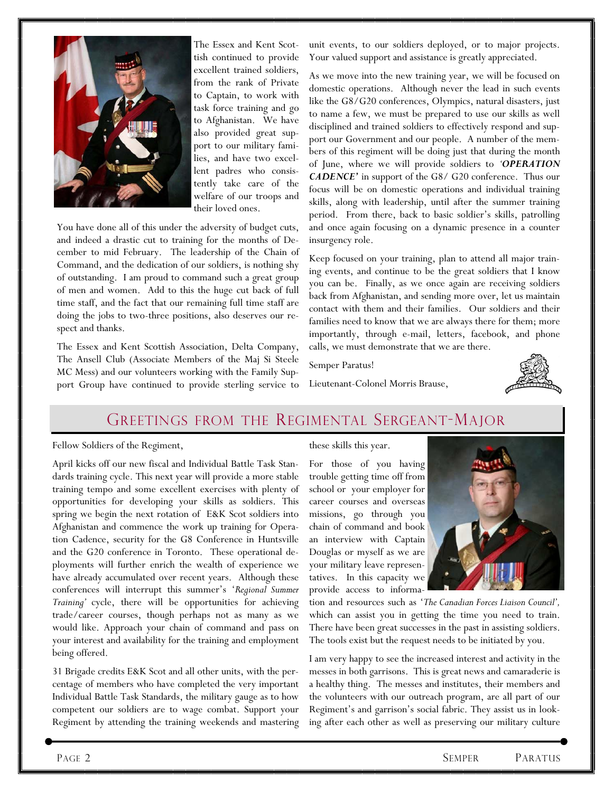

The Essex and Kent Scottish continued to provide excellent trained soldiers, from the rank of Private to Captain, to work with task force training and go to Afghanistan. We have also provided great support to our military families, and have two excellent padres who consistently take care of the welfare of our troops and their loved ones.

You have done all of this under the adversity of budget cuts, and indeed a drastic cut to training for the months of December to mid February. The leadership of the Chain of Command, and the dedication of our soldiers, is nothing shy of outstanding. I am proud to command such a great group of men and women. Add to this the huge cut back of full time staff, and the fact that our remaining full time staff are doing the jobs to two-three positions, also deserves our respect and thanks.

The Essex and Kent Scottish Association, Delta Company, The Ansell Club (Associate Members of the Maj Si Steele MC Mess) and our volunteers working with the Family Support Group have continued to provide sterling service to

unit events, to our soldiers deployed, or to major projects. Your valued support and assistance is greatly appreciated.

As we move into the new training year, we will be focused on domestic operations. Although never the lead in such events like the G8/G20 conferences, Olympics, natural disasters, just to name a few, we must be prepared to use our skills as well disciplined and trained soldiers to effectively respond and support our Government and our people. A number of the members of this regiment will be doing just that during the month of June, where we will provide soldiers to 'OPERATION CADENCE' in support of the G8/ G20 conference. Thus our focus will be on domestic operations and individual training skills, along with leadership, until after the summer training period. From there, back to basic soldier's skills, patrolling and once again focusing on a dynamic presence in a counter insurgency role.

Keep focused on your training, plan to attend all major training events, and continue to be the great soldiers that I know you can be. Finally, as we once again are receiving soldiers back from Afghanistan, and sending more over, let us maintain contact with them and their families. Our soldiers and their families need to know that we are always there for them; more importantly, through e-mail, letters, facebook, and phone calls, we must demonstrate that we are there.

Semper Paratus!

Lieutenant-Colonel Morris Brause,



## GREETINGS FROM THE REGIMENTAL SERGEANT-MAJOR

Fellow Soldiers of the Regiment,

April kicks off our new fiscal and Individual Battle Task Standards training cycle. This next year will provide a more stable training tempo and some excellent exercises with plenty of opportunities for developing your skills as soldiers. This spring we begin the next rotation of E&K Scot soldiers into Afghanistan and commence the work up training for Operation Cadence, security for the G8 Conference in Huntsville and the G20 conference in Toronto. These operational deployments will further enrich the wealth of experience we have already accumulated over recent years. Although these conferences will interrupt this summer's 'Regional Summer Training' cycle, there will be opportunities for achieving trade/career courses, though perhaps not as many as we would like. Approach your chain of command and pass on your interest and availability for the training and employment being offered.

31 Brigade credits E&K Scot and all other units, with the percentage of members who have completed the very important Individual Battle Task Standards, the military gauge as to how competent our soldiers are to wage combat. Support your Regiment by attending the training weekends and mastering these skills this year.

For those of you having trouble getting time off from school or your employer for career courses and overseas missions, go through you chain of command and book an interview with Captain Douglas or myself as we are your military leave representatives. In this capacity we provide access to informa-



tion and resources such as 'The Canadian Forces Liaison Council', which can assist you in getting the time you need to train. There have been great successes in the past in assisting soldiers. The tools exist but the request needs to be initiated by you.

I am very happy to see the increased interest and activity in the messes in both garrisons. This is great news and camaraderie is a healthy thing. The messes and institutes, their members and the volunteers with our outreach program, are all part of our Regiment's and garrison's social fabric. They assist us in looking after each other as well as preserving our military culture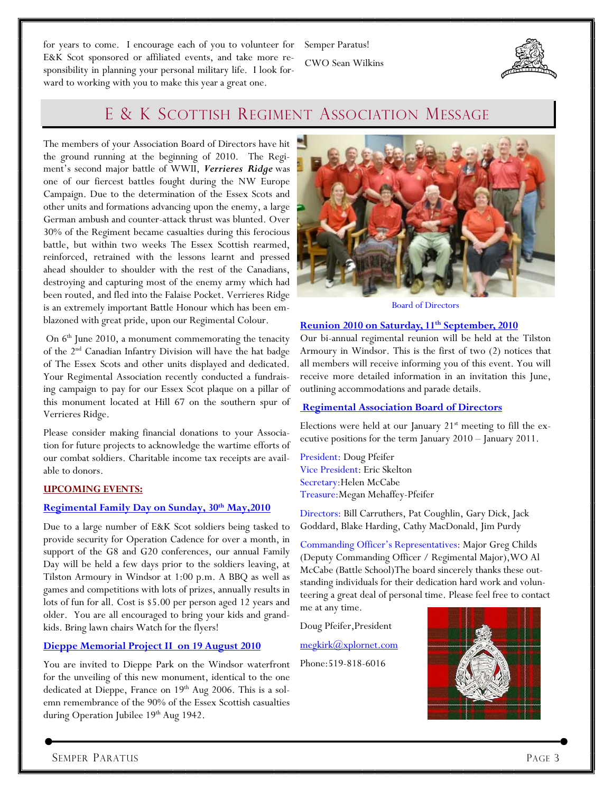for years to come. I encourage each of you to volunteer for E&K Scot sponsored or affiliated events, and take more responsibility in planning your personal military life. I look forward to working with you to make this year a great one.

Semper Paratus! CWO Sean Wilkins



## E & K SCOTTISH REGIMENT ASSOCIATION MESSAGE

The members of your Association Board of Directors have hit the ground running at the beginning of 2010. The Regiment's second major battle of WWII, Verrieres Ridge was one of our fiercest battles fought during the NW Europe Campaign. Due to the determination of the Essex Scots and other units and formations advancing upon the enemy, a large German ambush and counter-attack thrust was blunted. Over 30% of the Regiment became casualties during this ferocious battle, but within two weeks The Essex Scottish rearmed, reinforced, retrained with the lessons learnt and pressed ahead shoulder to shoulder with the rest of the Canadians, destroying and capturing most of the enemy army which had been routed, and fled into the Falaise Pocket. Verrieres Ridge is an extremely important Battle Honour which has been emblazoned with great pride, upon our Regimental Colour.

On  $6<sup>th</sup>$  June 2010, a monument commemorating the tenacity of the 2nd Canadian Infantry Division will have the hat badge of The Essex Scots and other units displayed and dedicated. Your Regimental Association recently conducted a fundraising campaign to pay for our Essex Scot plaque on a pillar of this monument located at Hill 67 on the southern spur of Verrieres Ridge.

Please consider making financial donations to your Association for future projects to acknowledge the wartime efforts of our combat soldiers. Charitable income tax receipts are available to donors.

#### UPCOMING EVENTS:

#### Regimental Family Day on Sunday, 30<sup>th</sup> May, 2010

Due to a large number of E&K Scot soldiers being tasked to provide security for Operation Cadence for over a month, in support of the G8 and G20 conferences, our annual Family Day will be held a few days prior to the soldiers leaving, at Tilston Armoury in Windsor at 1:00 p.m. A BBQ as well as games and competitions with lots of prizes, annually results in lots of fun for all. Cost is \$5.00 per person aged 12 years and older. You are all encouraged to bring your kids and grandkids. Bring lawn chairs Watch for the flyers!

#### Dieppe Memorial Project II on 19 August 2010

You are invited to Dieppe Park on the Windsor waterfront for the unveiling of this new monument, identical to the one dedicated at Dieppe, France on 19<sup>th</sup> Aug 2006. This is a solemn remembrance of the 90% of the Essex Scottish casualties during Operation Jubilee 19<sup>th</sup> Aug 1942.



Board of Directors

#### Reunion 2010 on Saturday, 11<sup>th</sup> September, 2010

Our bi-annual regimental reunion will be held at the Tilston Armoury in Windsor. This is the first of two (2) notices that all members will receive informing you of this event. You will receive more detailed information in an invitation this June, outlining accommodations and parade details.

#### Regimental Association Board of Directors

Elections were held at our January  $21<sup>st</sup>$  meeting to fill the executive positions for the term January 2010 – January 2011.

President: Doug Pfeifer Vice President: Eric Skelton Secretary:Helen McCabe Treasure:Megan Mehaffey-Pfeifer

Directors: Bill Carruthers, Pat Coughlin, Gary Dick, Jack Goddard, Blake Harding, Cathy MacDonald, Jim Purdy

Commanding Officer's Representatives: Major Greg Childs (Deputy Commanding Officer / Regimental Major),WO Al McCabe (Battle School)The board sincerely thanks these outstanding individuals for their dedication hard work and volunteering a great deal of personal time. Please feel free to contact me at any time.

Doug Pfeifer,President

megkirk@xplornet.com

Phone:519-818-6016

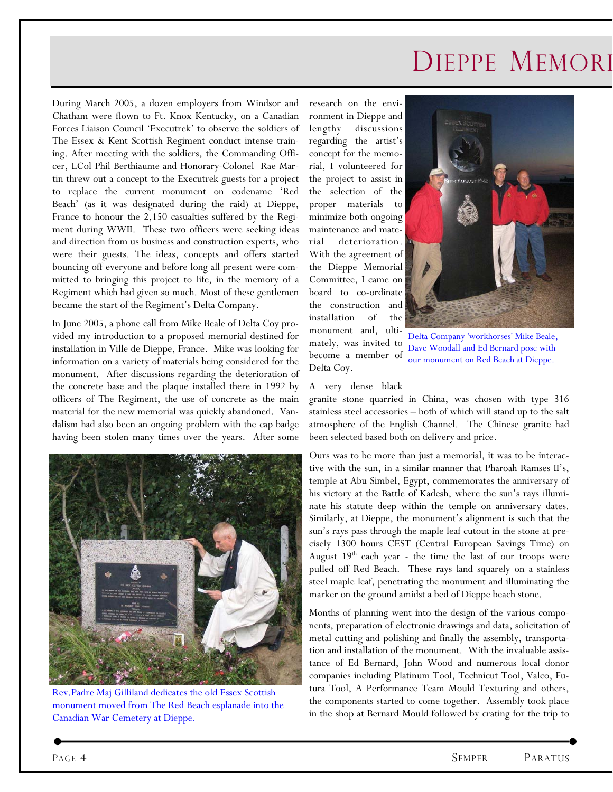## DIEPPE MEMORI

During March 2005, a dozen employers from Windsor and Chatham were flown to Ft. Knox Kentucky, on a Canadian Forces Liaison Council 'Executrek' to observe the soldiers of The Essex & Kent Scottish Regiment conduct intense training. After meeting with the soldiers, the Commanding Officer, LCol Phil Berthiaume and Honorary-Colonel Rae Martin threw out a concept to the Executrek guests for a project to replace the current monument on codename 'Red Beach' (as it was designated during the raid) at Dieppe, France to honour the 2,150 casualties suffered by the Regiment during WWII. These two officers were seeking ideas and direction from us business and construction experts, who were their guests. The ideas, concepts and offers started bouncing off everyone and before long all present were committed to bringing this project to life, in the memory of a Regiment which had given so much. Most of these gentlemen became the start of the Regiment's Delta Company.

In June 2005, a phone call from Mike Beale of Delta Coy provided my introduction to a proposed memorial destined for installation in Ville de Dieppe, France. Mike was looking for information on a variety of materials being considered for the monument. After discussions regarding the deterioration of the concrete base and the plaque installed there in 1992 by officers of The Regiment, the use of concrete as the main material for the new memorial was quickly abandoned. Vandalism had also been an ongoing problem with the cap badge having been stolen many times over the years. After some



Rev.Padre Maj Gilliland dedicates the old Essex Scottish monument moved from The Red Beach esplanade into the Canadian War Cemetery at Dieppe.

research on the environment in Dieppe and lengthy discussions regarding the artist's concept for the memorial, I volunteered for the project to assist in the selection of the proper materials to minimize both ongoing maintenance and material deterioration. With the agreement of the Dieppe Memorial Committee, I came on board to co-ordinate the construction and installation of the monument and, ultimately, was invited to become a member of



Delta Company 'workhorses' Mike Beale, Dave Woodall and Ed Bernard pose with our monument on Red Beach at Dieppe.

#### A very dense black

Delta Coy.

granite stone quarried in China, was chosen with type 316 stainless steel accessories – both of which will stand up to the salt atmosphere of the English Channel. The Chinese granite had been selected based both on delivery and price.

Ours was to be more than just a memorial, it was to be interactive with the sun, in a similar manner that Pharoah Ramses II's, temple at Abu Simbel, Egypt, commemorates the anniversary of his victory at the Battle of Kadesh, where the sun's rays illuminate his statute deep within the temple on anniversary dates. Similarly, at Dieppe, the monument's alignment is such that the sun's rays pass through the maple leaf cutout in the stone at precisely 1300 hours CEST (Central European Savings Time) on August 19<sup>th</sup> each year - the time the last of our troops were pulled off Red Beach. These rays land squarely on a stainless steel maple leaf, penetrating the monument and illuminating the marker on the ground amidst a bed of Dieppe beach stone.

Months of planning went into the design of the various components, preparation of electronic drawings and data, solicitation of metal cutting and polishing and finally the assembly, transportation and installation of the monument. With the invaluable assistance of Ed Bernard, John Wood and numerous local donor companies including Platinum Tool, Technicut Tool, Valco, Futura Tool, A Performance Team Mould Texturing and others, the components started to come together. Assembly took place in the shop at Bernard Mould followed by crating for the trip to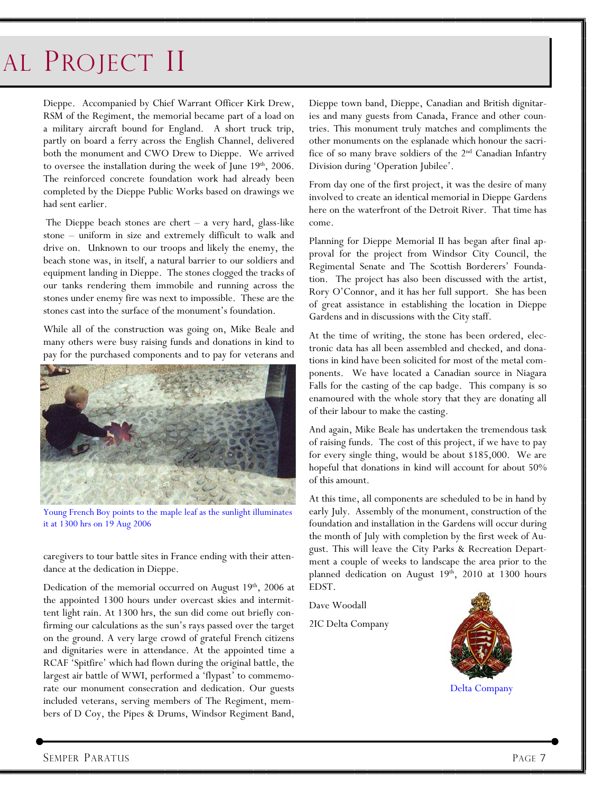## AL PROJECT II

Dieppe. Accompanied by Chief Warrant Officer Kirk Drew, RSM of the Regiment, the memorial became part of a load on a military aircraft bound for England. A short truck trip, partly on board a ferry across the English Channel, delivered both the monument and CWO Drew to Dieppe. We arrived to oversee the installation during the week of June  $19<sup>th</sup>$ , 2006. The reinforced concrete foundation work had already been completed by the Dieppe Public Works based on drawings we had sent earlier.

 The Dieppe beach stones are chert – a very hard, glass-like stone – uniform in size and extremely difficult to walk and drive on. Unknown to our troops and likely the enemy, the beach stone was, in itself, a natural barrier to our soldiers and equipment landing in Dieppe. The stones clogged the tracks of our tanks rendering them immobile and running across the stones under enemy fire was next to impossible. These are the stones cast into the surface of the monument's foundation.

While all of the construction was going on, Mike Beale and many others were busy raising funds and donations in kind to pay for the purchased components and to pay for veterans and



Young French Boy points to the maple leaf as the sunlight illuminates it at 1300 hrs on 19 Aug 2006

caregivers to tour battle sites in France ending with their attendance at the dedication in Dieppe.

Dedication of the memorial occurred on August 19<sup>th</sup>, 2006 at the appointed 1300 hours under overcast skies and intermittent light rain. At 1300 hrs, the sun did come out briefly confirming our calculations as the sun's rays passed over the target on the ground. A very large crowd of grateful French citizens and dignitaries were in attendance. At the appointed time a RCAF 'Spitfire' which had flown during the original battle, the largest air battle of WWI, performed a 'flypast' to commemorate our monument consecration and dedication. Our guests included veterans, serving members of The Regiment, members of D Coy, the Pipes & Drums, Windsor Regiment Band,

Dieppe town band, Dieppe, Canadian and British dignitaries and many guests from Canada, France and other countries. This monument truly matches and compliments the other monuments on the esplanade which honour the sacrifice of so many brave soldiers of the 2nd Canadian Infantry Division during 'Operation Jubilee'.

From day one of the first project, it was the desire of many involved to create an identical memorial in Dieppe Gardens here on the waterfront of the Detroit River. That time has come.

Planning for Dieppe Memorial II has began after final approval for the project from Windsor City Council, the Regimental Senate and The Scottish Borderers' Foundation. The project has also been discussed with the artist, Rory O'Connor, and it has her full support. She has been of great assistance in establishing the location in Dieppe Gardens and in discussions with the City staff.

At the time of writing, the stone has been ordered, electronic data has all been assembled and checked, and donations in kind have been solicited for most of the metal components. We have located a Canadian source in Niagara Falls for the casting of the cap badge. This company is so enamoured with the whole story that they are donating all of their labour to make the casting.

And again, Mike Beale has undertaken the tremendous task of raising funds. The cost of this project, if we have to pay for every single thing, would be about \$185,000. We are hopeful that donations in kind will account for about 50% of this amount.

At this time, all components are scheduled to be in hand by early July. Assembly of the monument, construction of the foundation and installation in the Gardens will occur during the month of July with completion by the first week of August. This will leave the City Parks & Recreation Department a couple of weeks to landscape the area prior to the planned dedication on August 19<sup>th</sup>, 2010 at 1300 hours EDST.

Dave Woodall

2IC Delta Company



Delta Company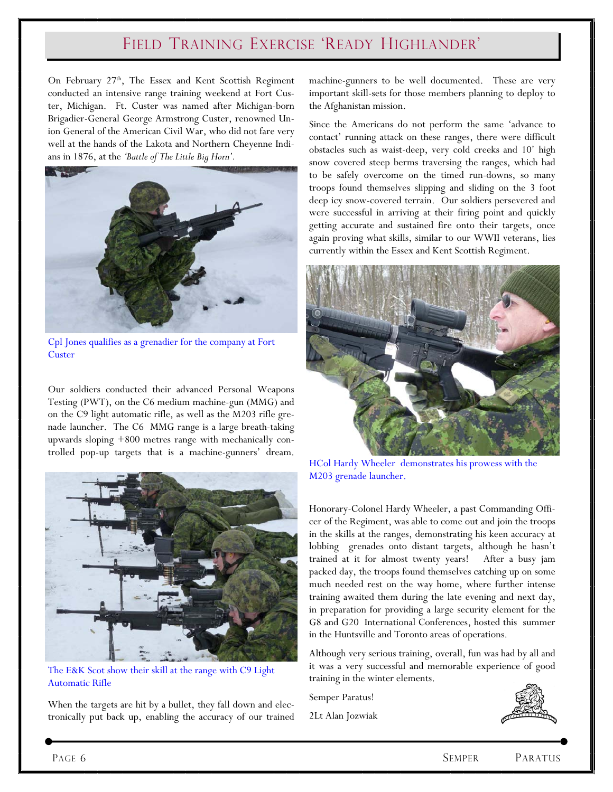## FIELD TRAINING EXERCISE 'READY HIGHLANDER'

On February 27<sup>th</sup>, The Essex and Kent Scottish Regiment conducted an intensive range training weekend at Fort Custer, Michigan. Ft. Custer was named after Michigan-born Brigadier-General George Armstrong Custer, renowned Union General of the American Civil War, who did not fare very well at the hands of the Lakota and Northern Cheyenne Indians in 1876, at the 'Battle of The Little Big Horn'.



Cpl Jones qualifies as a grenadier for the company at Fort **Custer** 

Our soldiers conducted their advanced Personal Weapons Testing (PWT), on the C6 medium machine-gun (MMG) and on the C9 light automatic rifle, as well as the M203 rifle grenade launcher. The C6 MMG range is a large breath-taking upwards sloping +800 metres range with mechanically controlled pop-up targets that is a machine-gunners' dream.



The E&K Scot show their skill at the range with C9 Light Automatic Rifle

When the targets are hit by a bullet, they fall down and electronically put back up, enabling the accuracy of our trained machine-gunners to be well documented. These are very important skill-sets for those members planning to deploy to the Afghanistan mission.

Since the Americans do not perform the same 'advance to contact' running attack on these ranges, there were difficult obstacles such as waist-deep, very cold creeks and 10' high snow covered steep berms traversing the ranges, which had to be safely overcome on the timed run-downs, so many troops found themselves slipping and sliding on the 3 foot deep icy snow-covered terrain. Our soldiers persevered and were successful in arriving at their firing point and quickly getting accurate and sustained fire onto their targets, once again proving what skills, similar to our WWII veterans, lies currently within the Essex and Kent Scottish Regiment.



HCol Hardy Wheeler demonstrates his prowess with the M203 grenade launcher.

Honorary-Colonel Hardy Wheeler, a past Commanding Officer of the Regiment, was able to come out and join the troops in the skills at the ranges, demonstrating his keen accuracy at lobbing grenades onto distant targets, although he hasn't trained at it for almost twenty years! After a busy jam packed day, the troops found themselves catching up on some much needed rest on the way home, where further intense training awaited them during the late evening and next day, in preparation for providing a large security element for the G8 and G20 International Conferences, hosted this summer in the Huntsville and Toronto areas of operations.

Although very serious training, overall, fun was had by all and it was a very successful and memorable experience of good training in the winter elements.

Semper Paratus!

2Lt Alan Jozwiak

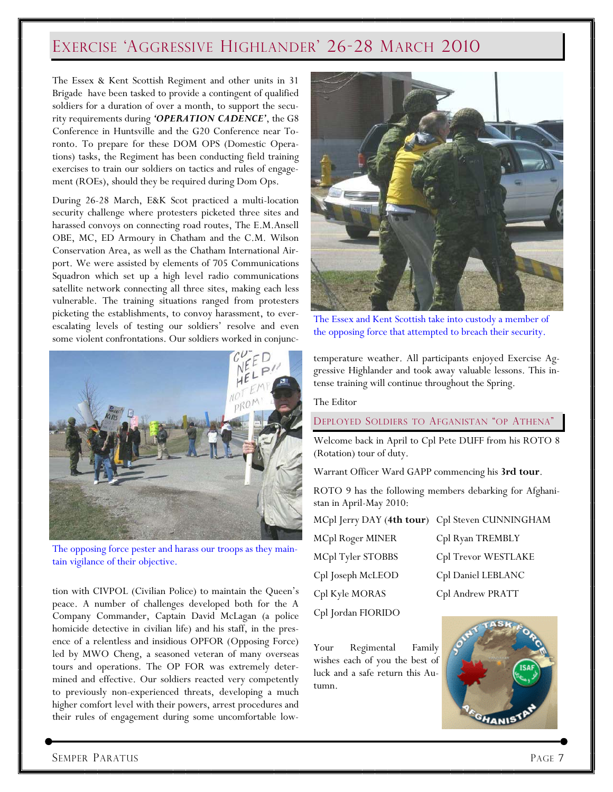## EXERCISE 'AGGRESSIVE HIGHLANDER' 26-28 MARCH 2010

The Essex & Kent Scottish Regiment and other units in 31 Brigade have been tasked to provide a contingent of qualified soldiers for a duration of over a month, to support the security requirements during 'OPERATION CADENCE', the G8 Conference in Huntsville and the G20 Conference near Toronto. To prepare for these DOM OPS (Domestic Operations) tasks, the Regiment has been conducting field training exercises to train our soldiers on tactics and rules of engagement (ROEs), should they be required during Dom Ops.

During 26-28 March, E&K Scot practiced a multi-location security challenge where protesters picketed three sites and harassed convoys on connecting road routes, The E.M.Ansell OBE, MC, ED Armoury in Chatham and the C.M. Wilson Conservation Area, as well as the Chatham International Airport. We were assisted by elements of 705 Communications Squadron which set up a high level radio communications satellite network connecting all three sites, making each less vulnerable. The training situations ranged from protesters picketing the establishments, to convoy harassment, to everescalating levels of testing our soldiers' resolve and even some violent confrontations. Our soldiers worked in conjunc-



The opposing force pester and harass our troops as they maintain vigilance of their objective.

tion with CIVPOL (Civilian Police) to maintain the Queen's peace. A number of challenges developed both for the A Company Commander, Captain David McLagan (a police homicide detective in civilian life) and his staff, in the presence of a relentless and insidious OPFOR (Opposing Force) led by MWO Cheng, a seasoned veteran of many overseas tours and operations. The OP FOR was extremely determined and effective. Our soldiers reacted very competently to previously non-experienced threats, developing a much higher comfort level with their powers, arrest procedures and their rules of engagement during some uncomfortable low-



The Essex and Kent Scottish take into custody a member of the opposing force that attempted to breach their security.

temperature weather. All participants enjoyed Exercise Aggressive Highlander and took away valuable lessons. This intense training will continue throughout the Spring.

The Editor

DEPLOYED SOLDIERS TO AFGANISTAN "OP ATHENA"

Welcome back in April to Cpl Pete DUFF from his ROTO 8 (Rotation) tour of duty.

Warrant Officer Ward GAPP commencing his 3rd tour.

ROTO 9 has the following members debarking for Afghanistan in April-May 2010:

MCpl Jerry DAY (4th tour) Cpl Steven CUNNINGHAM

| MCpl Roger MINER   | Cpl Ryan TREMBLY    |
|--------------------|---------------------|
| MCpl Tyler STOBBS  | Cpl Trevor WESTLAKE |
| Cpl Joseph McLEOD  | Cpl Daniel LEBLANC  |
| Cpl Kyle MORAS     | Cpl Andrew PRATT    |
| Cpl Jordan FIORIDO |                     |

Your Regimental Family wishes each of you the best of luck and a safe return this Autumn.